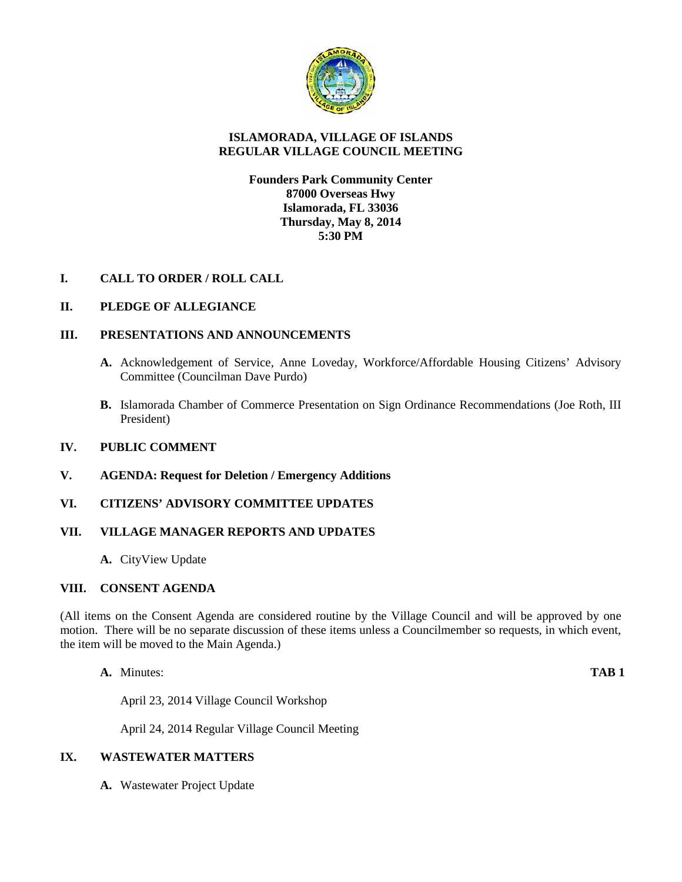

## **ISLAMORADA, VILLAGE OF ISLANDS REGULAR VILLAGE COUNCIL MEETING**

## **Founders Park Community Center 87000 Overseas Hwy Islamorada, FL 33036 Thursday, May 8, 2014 5:30 PM**

# **I. CALL TO ORDER / ROLL CALL**

# **II. PLEDGE OF ALLEGIANCE**

## **III. PRESENTATIONS AND ANNOUNCEMENTS**

- **A.** Acknowledgement of Service, Anne Loveday, Workforce/Affordable Housing Citizens' Advisory Committee (Councilman Dave Purdo)
- **B.** Islamorada Chamber of Commerce Presentation on Sign Ordinance Recommendations (Joe Roth, III President)

### **IV. PUBLIC COMMENT**

### **V. AGENDA: Request for Deletion / Emergency Additions**

### **VI. CITIZENS' ADVISORY COMMITTEE UPDATES**

### **VII. VILLAGE MANAGER REPORTS AND UPDATES**

**A.** CityView Update

### **VIII. CONSENT AGENDA**

(All items on the Consent Agenda are considered routine by the Village Council and will be approved by one motion. There will be no separate discussion of these items unless a Councilmember so requests, in which event, the item will be moved to the Main Agenda.)

**A.** Minutes: **TAB 1**

April 23, 2014 Village Council Workshop

April 24, 2014 Regular Village Council Meeting

### **IX. WASTEWATER MATTERS**

**A.** Wastewater Project Update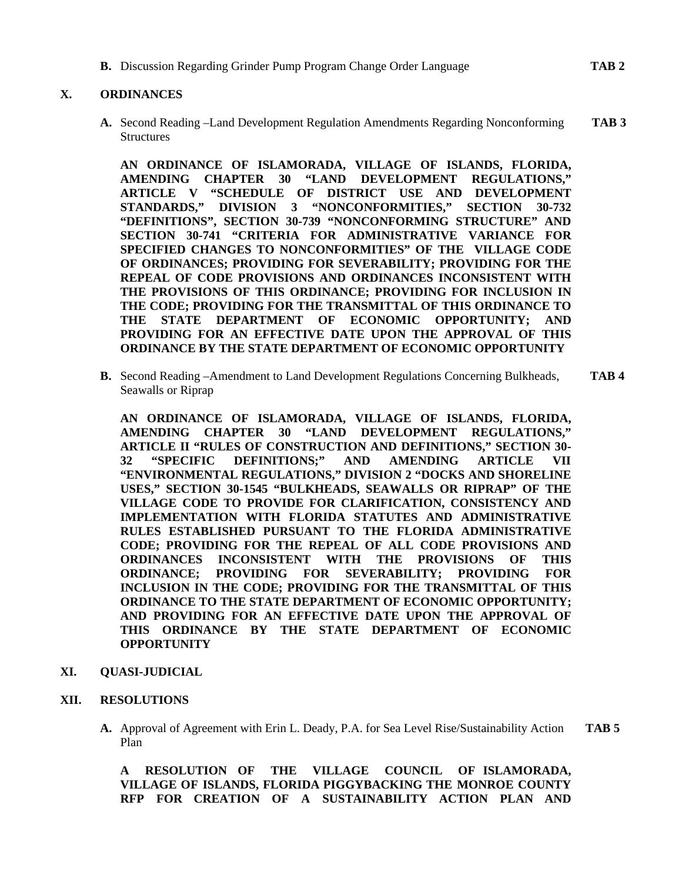**B.** Discussion Regarding Grinder Pump Program Change Order Language **TAB 2**

## **X. ORDINANCES**

**A.** Second Reading –Land Development Regulation Amendments Regarding Nonconforming **TAB 3 Structures** 

**AN ORDINANCE OF ISLAMORADA, VILLAGE OF ISLANDS, FLORIDA, AMENDING CHAPTER 30 "LAND DEVELOPMENT REGULATIONS," ARTICLE V "SCHEDULE OF DISTRICT USE AND DEVELOPMENT STANDARDS," DIVISION 3 "NONCONFORMITIES," SECTION 30-732 "DEFINITIONS", SECTION 30-739 "NONCONFORMING STRUCTURE" AND SECTION 30-741 "CRITERIA FOR ADMINISTRATIVE VARIANCE FOR SPECIFIED CHANGES TO NONCONFORMITIES" OF THE VILLAGE CODE OF ORDINANCES; PROVIDING FOR SEVERABILITY; PROVIDING FOR THE REPEAL OF CODE PROVISIONS AND ORDINANCES INCONSISTENT WITH THE PROVISIONS OF THIS ORDINANCE; PROVIDING FOR INCLUSION IN THE CODE; PROVIDING FOR THE TRANSMITTAL OF THIS ORDINANCE TO THE STATE DEPARTMENT OF ECONOMIC OPPORTUNITY; AND PROVIDING FOR AN EFFECTIVE DATE UPON THE APPROVAL OF THIS ORDINANCE BY THE STATE DEPARTMENT OF ECONOMIC OPPORTUNITY**

**B.** Second Reading –Amendment to Land Development Regulations Concerning Bulkheads, **TAB 4** Seawalls or Riprap

**AN ORDINANCE OF ISLAMORADA, VILLAGE OF ISLANDS, FLORIDA, AMENDING CHAPTER 30 "LAND DEVELOPMENT REGULATIONS," ARTICLE II "RULES OF CONSTRUCTION AND DEFINITIONS," SECTION 30- 32 "SPECIFIC DEFINITIONS;" AND AMENDING ARTICLE VII "ENVIRONMENTAL REGULATIONS," DIVISION 2 "DOCKS AND SHORELINE USES," SECTION 30-1545 "BULKHEADS, SEAWALLS OR RIPRAP" OF THE VILLAGE CODE TO PROVIDE FOR CLARIFICATION, CONSISTENCY AND IMPLEMENTATION WITH FLORIDA STATUTES AND ADMINISTRATIVE RULES ESTABLISHED PURSUANT TO THE FLORIDA ADMINISTRATIVE CODE; PROVIDING FOR THE REPEAL OF ALL CODE PROVISIONS AND ORDINANCES INCONSISTENT WITH THE PROVISIONS OF THIS ORDINANCE; PROVIDING FOR SEVERABILITY; PROVIDING FOR INCLUSION IN THE CODE; PROVIDING FOR THE TRANSMITTAL OF THIS ORDINANCE TO THE STATE DEPARTMENT OF ECONOMIC OPPORTUNITY; AND PROVIDING FOR AN EFFECTIVE DATE UPON THE APPROVAL OF THIS ORDINANCE BY THE STATE DEPARTMENT OF ECONOMIC OPPORTUNITY**

### **XI. QUASI-JUDICIAL**

#### **XII. RESOLUTIONS**

**A.** Approval of Agreement with Erin L. Deady, P.A. for Sea Level Rise/Sustainability Action **TAB 5** Plan

**A RESOLUTION OF THE VILLAGE COUNCIL OF ISLAMORADA, VILLAGE OF ISLANDS, FLORIDA PIGGYBACKING THE MONROE COUNTY RFP FOR CREATION OF A SUSTAINABILITY ACTION PLAN AND**